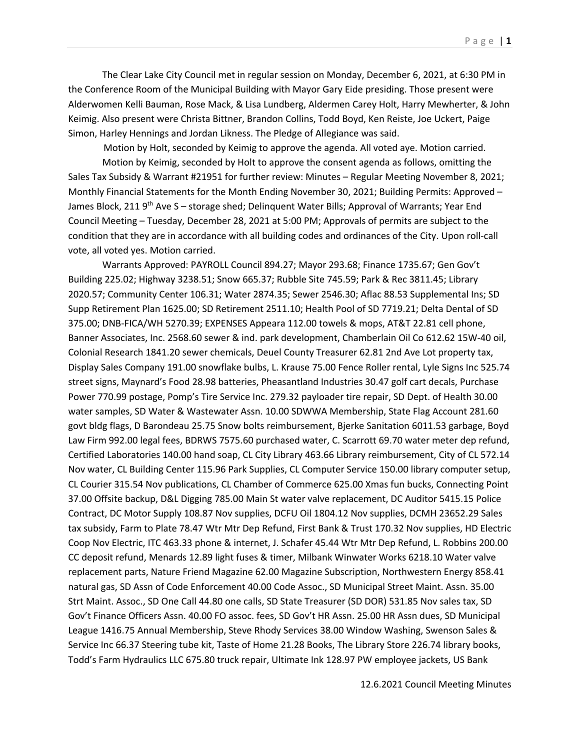The Clear Lake City Council met in regular session on Monday, December 6, 2021, at 6:30 PM in the Conference Room of the Municipal Building with Mayor Gary Eide presiding. Those present were Alderwomen Kelli Bauman, Rose Mack, & Lisa Lundberg, Aldermen Carey Holt, Harry Mewherter, & John Keimig. Also present were Christa Bittner, Brandon Collins, Todd Boyd, Ken Reiste, Joe Uckert, Paige Simon, Harley Hennings and Jordan Likness. The Pledge of Allegiance was said.

Motion by Holt, seconded by Keimig to approve the agenda. All voted aye. Motion carried.

Motion by Keimig, seconded by Holt to approve the consent agenda as follows, omitting the Sales Tax Subsidy & Warrant #21951 for further review: Minutes – Regular Meeting November 8, 2021; Monthly Financial Statements for the Month Ending November 30, 2021; Building Permits: Approved – James Block, 211 9<sup>th</sup> Ave S – storage shed; Delinquent Water Bills; Approval of Warrants; Year End Council Meeting – Tuesday, December 28, 2021 at 5:00 PM; Approvals of permits are subject to the condition that they are in accordance with all building codes and ordinances of the City. Upon roll-call vote, all voted yes. Motion carried.

Warrants Approved: PAYROLL Council 894.27; Mayor 293.68; Finance 1735.67; Gen Gov't Building 225.02; Highway 3238.51; Snow 665.37; Rubble Site 745.59; Park & Rec 3811.45; Library 2020.57; Community Center 106.31; Water 2874.35; Sewer 2546.30; Aflac 88.53 Supplemental Ins; SD Supp Retirement Plan 1625.00; SD Retirement 2511.10; Health Pool of SD 7719.21; Delta Dental of SD 375.00; DNB-FICA/WH 5270.39; EXPENSES Appeara 112.00 towels & mops, AT&T 22.81 cell phone, Banner Associates, Inc. 2568.60 sewer & ind. park development, Chamberlain Oil Co 612.62 15W-40 oil, Colonial Research 1841.20 sewer chemicals, Deuel County Treasurer 62.81 2nd Ave Lot property tax, Display Sales Company 191.00 snowflake bulbs, L. Krause 75.00 Fence Roller rental, Lyle Signs Inc 525.74 street signs, Maynard's Food 28.98 batteries, Pheasantland Industries 30.47 golf cart decals, Purchase Power 770.99 postage, Pomp's Tire Service Inc. 279.32 payloader tire repair, SD Dept. of Health 30.00 water samples, SD Water & Wastewater Assn. 10.00 SDWWA Membership, State Flag Account 281.60 govt bldg flags, D Barondeau 25.75 Snow bolts reimbursement, Bjerke Sanitation 6011.53 garbage, Boyd Law Firm 992.00 legal fees, BDRWS 7575.60 purchased water, C. Scarrott 69.70 water meter dep refund, Certified Laboratories 140.00 hand soap, CL City Library 463.66 Library reimbursement, City of CL 572.14 Nov water, CL Building Center 115.96 Park Supplies, CL Computer Service 150.00 library computer setup, CL Courier 315.54 Nov publications, CL Chamber of Commerce 625.00 Xmas fun bucks, Connecting Point 37.00 Offsite backup, D&L Digging 785.00 Main St water valve replacement, DC Auditor 5415.15 Police Contract, DC Motor Supply 108.87 Nov supplies, DCFU Oil 1804.12 Nov supplies, DCMH 23652.29 Sales tax subsidy, Farm to Plate 78.47 Wtr Mtr Dep Refund, First Bank & Trust 170.32 Nov supplies, HD Electric Coop Nov Electric, ITC 463.33 phone & internet, J. Schafer 45.44 Wtr Mtr Dep Refund, L. Robbins 200.00 CC deposit refund, Menards 12.89 light fuses & timer, Milbank Winwater Works 6218.10 Water valve replacement parts, Nature Friend Magazine 62.00 Magazine Subscription, Northwestern Energy 858.41 natural gas, SD Assn of Code Enforcement 40.00 Code Assoc., SD Municipal Street Maint. Assn. 35.00 Strt Maint. Assoc., SD One Call 44.80 one calls, SD State Treasurer (SD DOR) 531.85 Nov sales tax, SD Gov't Finance Officers Assn. 40.00 FO assoc. fees, SD Gov't HR Assn. 25.00 HR Assn dues, SD Municipal League 1416.75 Annual Membership, Steve Rhody Services 38.00 Window Washing, Swenson Sales & Service Inc 66.37 Steering tube kit, Taste of Home 21.28 Books, The Library Store 226.74 library books, Todd's Farm Hydraulics LLC 675.80 truck repair, Ultimate Ink 128.97 PW employee jackets, US Bank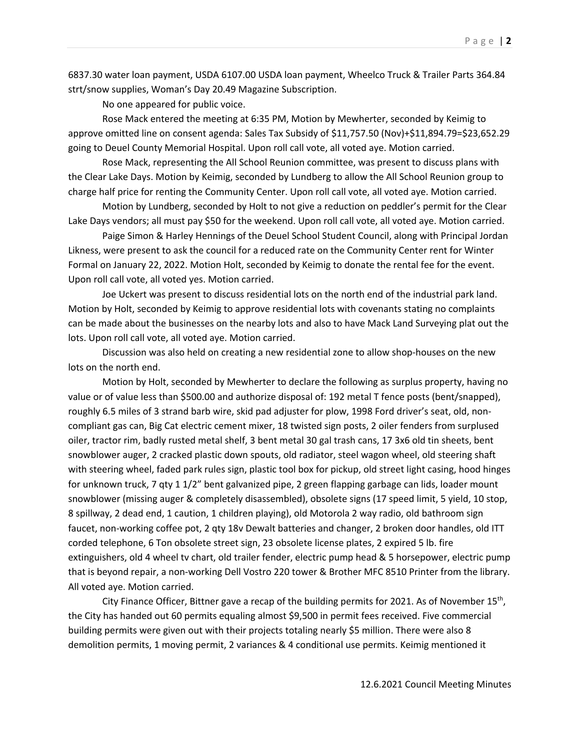6837.30 water loan payment, USDA 6107.00 USDA loan payment, Wheelco Truck & Trailer Parts 364.84 strt/snow supplies, Woman's Day 20.49 Magazine Subscription.

No one appeared for public voice.

Rose Mack entered the meeting at 6:35 PM, Motion by Mewherter, seconded by Keimig to approve omitted line on consent agenda: Sales Tax Subsidy of \$11,757.50 (Nov)+\$11,894.79=\$23,652.29 going to Deuel County Memorial Hospital. Upon roll call vote, all voted aye. Motion carried.

Rose Mack, representing the All School Reunion committee, was present to discuss plans with the Clear Lake Days. Motion by Keimig, seconded by Lundberg to allow the All School Reunion group to charge half price for renting the Community Center. Upon roll call vote, all voted aye. Motion carried.

Motion by Lundberg, seconded by Holt to not give a reduction on peddler's permit for the Clear Lake Days vendors; all must pay \$50 for the weekend. Upon roll call vote, all voted aye. Motion carried.

Paige Simon & Harley Hennings of the Deuel School Student Council, along with Principal Jordan Likness, were present to ask the council for a reduced rate on the Community Center rent for Winter Formal on January 22, 2022. Motion Holt, seconded by Keimig to donate the rental fee for the event. Upon roll call vote, all voted yes. Motion carried.

Joe Uckert was present to discuss residential lots on the north end of the industrial park land. Motion by Holt, seconded by Keimig to approve residential lots with covenants stating no complaints can be made about the businesses on the nearby lots and also to have Mack Land Surveying plat out the lots. Upon roll call vote, all voted aye. Motion carried.

Discussion was also held on creating a new residential zone to allow shop-houses on the new lots on the north end.

Motion by Holt, seconded by Mewherter to declare the following as surplus property, having no value or of value less than \$500.00 and authorize disposal of: 192 metal T fence posts (bent/snapped), roughly 6.5 miles of 3 strand barb wire, skid pad adjuster for plow, 1998 Ford driver's seat, old, noncompliant gas can, Big Cat electric cement mixer, 18 twisted sign posts, 2 oiler fenders from surplused oiler, tractor rim, badly rusted metal shelf, 3 bent metal 30 gal trash cans, 17 3x6 old tin sheets, bent snowblower auger, 2 cracked plastic down spouts, old radiator, steel wagon wheel, old steering shaft with steering wheel, faded park rules sign, plastic tool box for pickup, old street light casing, hood hinges for unknown truck, 7 qty 1 1/2" bent galvanized pipe, 2 green flapping garbage can lids, loader mount snowblower (missing auger & completely disassembled), obsolete signs (17 speed limit, 5 yield, 10 stop, 8 spillway, 2 dead end, 1 caution, 1 children playing), old Motorola 2 way radio, old bathroom sign faucet, non-working coffee pot, 2 qty 18v Dewalt batteries and changer, 2 broken door handles, old ITT corded telephone, 6 Ton obsolete street sign, 23 obsolete license plates, 2 expired 5 lb. fire extinguishers, old 4 wheel tv chart, old trailer fender, electric pump head & 5 horsepower, electric pump that is beyond repair, a non-working Dell Vostro 220 tower & Brother MFC 8510 Printer from the library. All voted aye. Motion carried.

City Finance Officer, Bittner gave a recap of the building permits for 2021. As of November 15th, the City has handed out 60 permits equaling almost \$9,500 in permit fees received. Five commercial building permits were given out with their projects totaling nearly \$5 million. There were also 8 demolition permits, 1 moving permit, 2 variances & 4 conditional use permits. Keimig mentioned it